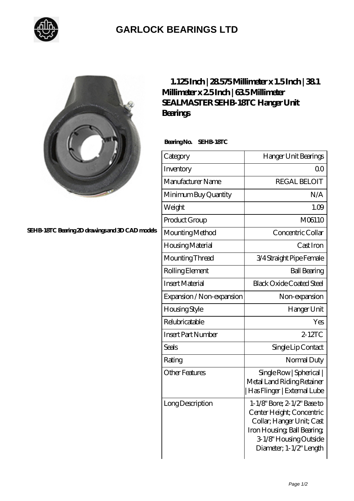

## **[GARLOCK BEARINGS LTD](https://m.letterstopriests.com)**



**[SEHB-18TC Bearing 2D drawings and 3D CAD models](https://m.letterstopriests.com/pic-188948.html)**

| $1.125$ Inch $ 28575$ Millimeter x $1.5$ Inch $ 381$ |  |  |  |
|------------------------------------------------------|--|--|--|
| Millimeter x 25Inch   635Millimeter                  |  |  |  |
| SEALMASTER SEHB 18TC Hanger Unit                     |  |  |  |
| <b>Bearings</b>                                      |  |  |  |

 **Bearing No. SEHB-18TC**

| Category                  | Hanger Unit Bearings                                                                                                                                                      |
|---------------------------|---------------------------------------------------------------------------------------------------------------------------------------------------------------------------|
| Inventory                 | Q <sub>O</sub>                                                                                                                                                            |
| Manufacturer Name         | <b>REGAL BELOIT</b>                                                                                                                                                       |
| Minimum Buy Quantity      | N/A                                                                                                                                                                       |
| Weight                    | 1.09                                                                                                                                                                      |
| Product Group             | M06110                                                                                                                                                                    |
| Mounting Method           | Concentric Collar                                                                                                                                                         |
| Housing Material          | Cast Iron                                                                                                                                                                 |
| Mounting Thread           | 3/4 Straight Pipe Female                                                                                                                                                  |
| Rolling Element           | <b>Ball Bearing</b>                                                                                                                                                       |
| <b>Insert Material</b>    | <b>Black Oxide Coated Steel</b>                                                                                                                                           |
| Expansion / Non-expansion | Non-expansion                                                                                                                                                             |
| <b>Housing Style</b>      | Hanger Unit                                                                                                                                                               |
| Relubricatable            | Yes                                                                                                                                                                       |
| <b>Insert Part Number</b> | $2 - 12TC$                                                                                                                                                                |
| Seals                     | Single Lip Contact                                                                                                                                                        |
| Rating                    | Normal Duty                                                                                                                                                               |
| <b>Other Features</b>     | Single Row   Spherical  <br>Metal Land Riding Retainer<br>Has Flinger   External Lube                                                                                     |
| Long Description          | 1-1/8" Bore: 2-1/2" Base to<br>Center Height; Concentric<br>Collar; Hanger Unit; Cast<br>Iron Housing, Ball Bearing,<br>3-1/8" Housing Outside<br>Diameter; 1-1/2" Length |